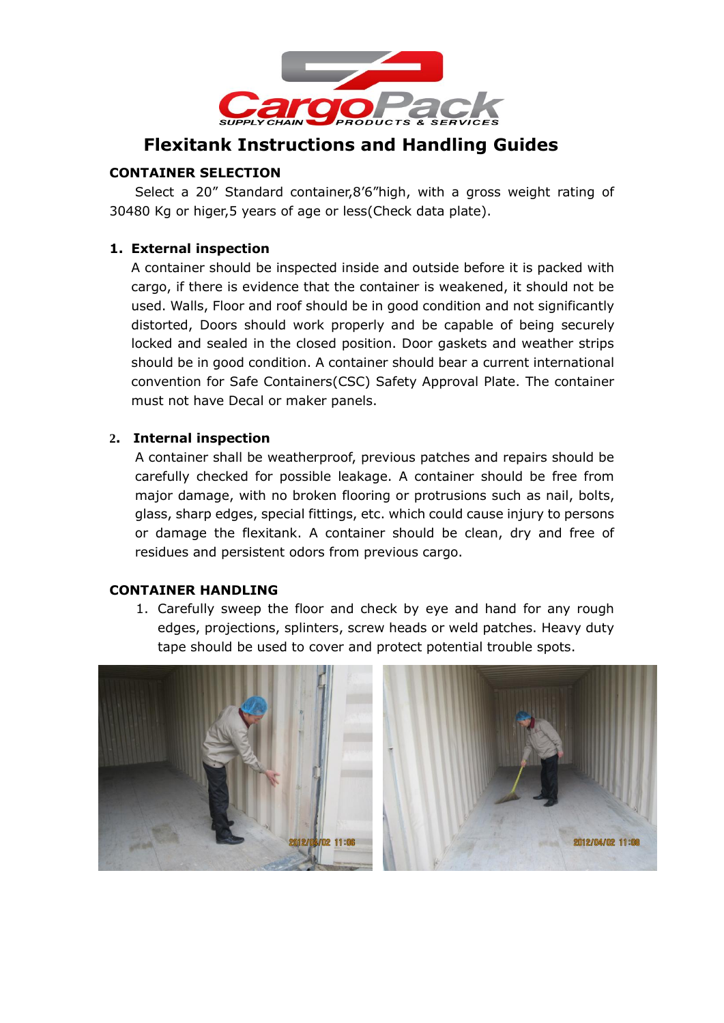

# **Flexitank Instructions and Handling Guides**

## **CONTAINER SELECTION**

Select a 20" Standard container,8'6"high, with a gross weight rating of 30480 Kg or higer,5 years of age or less(Check data plate).

#### **1. External inspection**

A container should be inspected inside and outside before it is packed with cargo, if there is evidence that the container is weakened, it should not be used. Walls, Floor and roof should be in good condition and not significantly distorted, Doors should work properly and be capable of being securely locked and sealed in the closed position. Door gaskets and weather strips should be in good condition. A container should bear a current international convention for Safe Containers(CSC) Safety Approval Plate. The container must not have Decal or maker panels.

#### **2. Internal inspection**

 A container shall be weatherproof, previous patches and repairs should be carefully checked for possible leakage. A container should be free from major damage, with no broken flooring or protrusions such as nail, bolts, glass, sharp edges, special fittings, etc. which could cause injury to persons or damage the flexitank. A container should be clean, dry and free of residues and persistent odors from previous cargo.

#### **CONTAINER HANDLING**

1. Carefully sweep the floor and check by eye and hand for any rough edges, projections, splinters, screw heads or weld patches. Heavy duty tape should be used to cover and protect potential trouble spots.

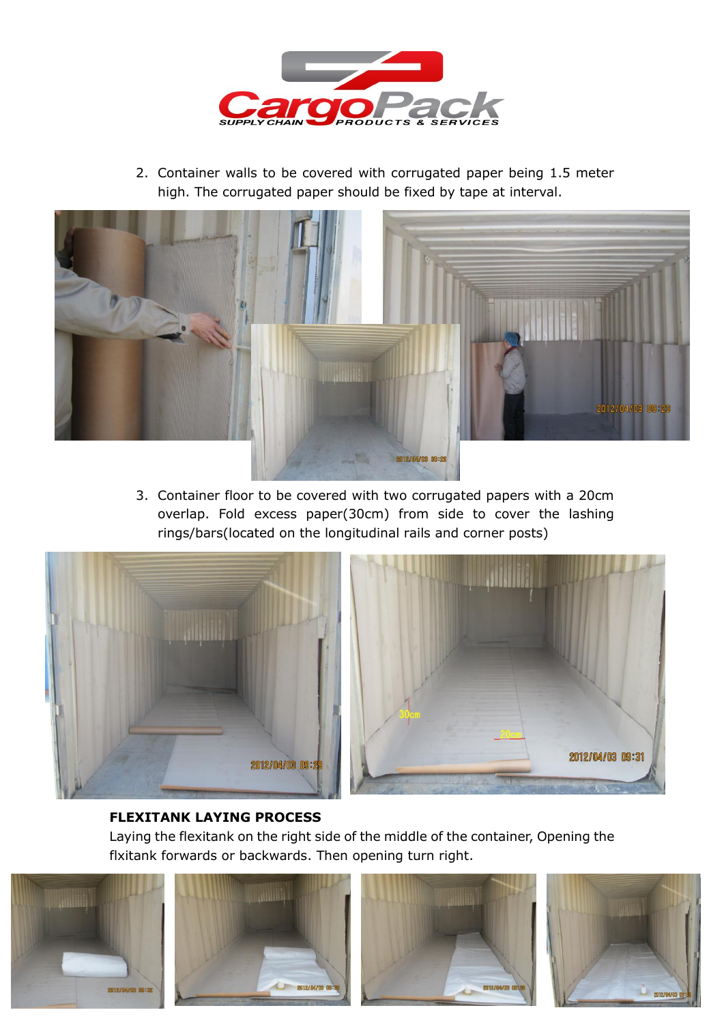

2. Container walls to be covered with corrugated paper being 1.5 meter high. The corrugated paper should be fixed by tape at interval.



3. Container floor to be covered with two corrugated papers with a 20cm overlap. Fold excess paper(30cm) from side to cover the lashing rings/bars(located on the longitudinal rails and corner posts)



## **FLEXITANK LAYING PROCESS**

Laying the flexitank on the right side of the middle of the container, Opening the flxitank forwards or backwards. Then opening turn right.



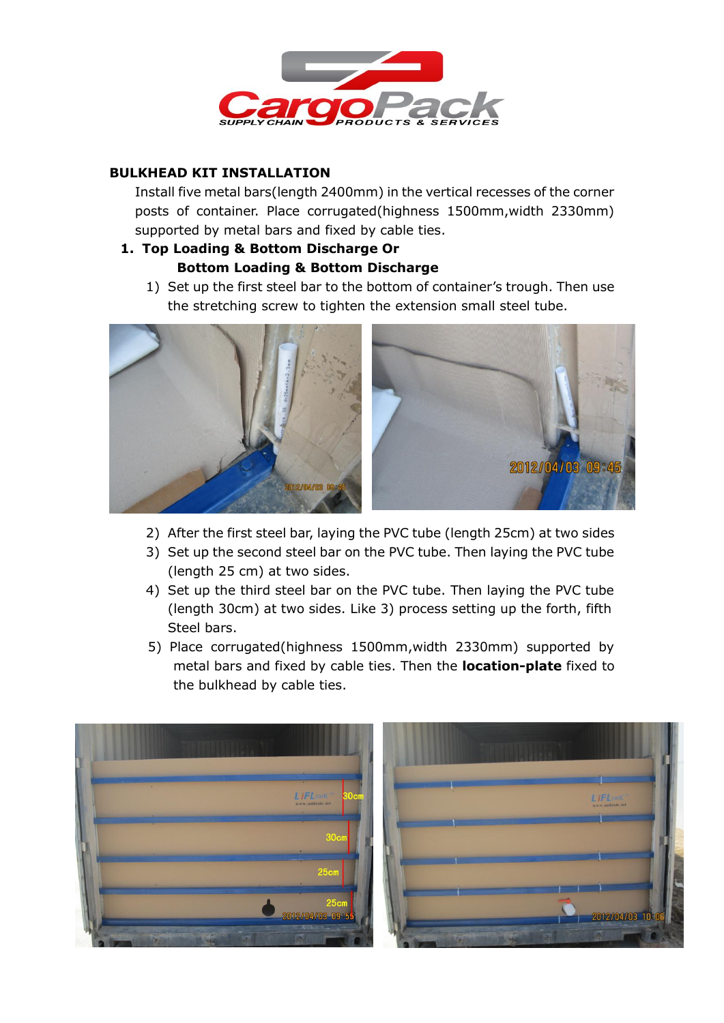

## **BULKHEAD KIT INSTALLATION**

Install five metal bars(length 2400mm) in the vertical recesses of the corner posts of container. Place corrugated(highness 1500mm,width 2330mm) supported by metal bars and fixed by cable ties.

# **1. Top Loading & Bottom Discharge Or Bottom Loading & Bottom Discharge**

1) Set up the first steel bar to the bottom of container's trough. Then use the stretching screw to tighten the extension small steel tube.



- 2) After the first steel bar, laying the PVC tube (length 25cm) at two sides
- 3) Set up the second steel bar on the PVC tube. Then laying the PVC tube (length 25 cm) at two sides.
- 4) Set up the third steel bar on the PVC tube. Then laying the PVC tube (length 30cm) at two sides. Like 3) process setting up the forth, fifth Steel bars.
- 5) Place corrugated(highness 1500mm,width 2330mm) supported by metal bars and fixed by cable ties. Then the **location-plate** fixed to the bulkhead by cable ties.

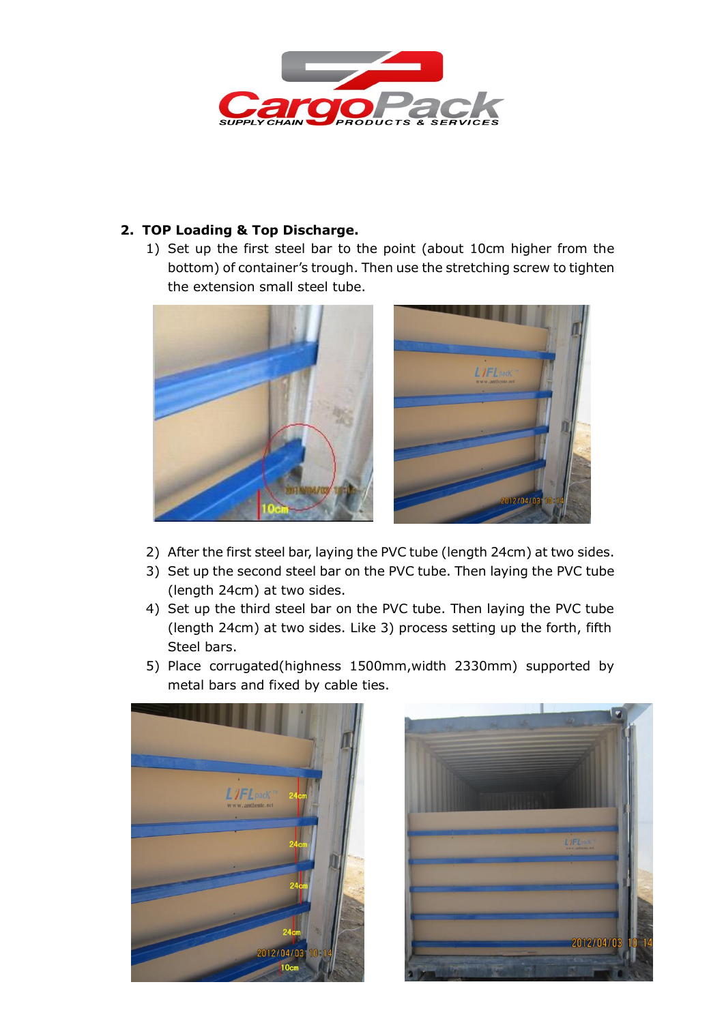

# **2. TOP Loading & Top Discharge.**

1) Set up the first steel bar to the point (about 10cm higher from the bottom) of container's trough. Then use the stretching screw to tighten the extension small steel tube.



- 2) After the first steel bar, laying the PVC tube (length 24cm) at two sides.
- 3) Set up the second steel bar on the PVC tube. Then laying the PVC tube (length 24cm) at two sides.
- 4) Set up the third steel bar on the PVC tube. Then laying the PVC tube (length 24cm) at two sides. Like 3) process setting up the forth, fifth Steel bars.
- 5) Place corrugated(highness 1500mm,width 2330mm) supported by metal bars and fixed by cable ties.



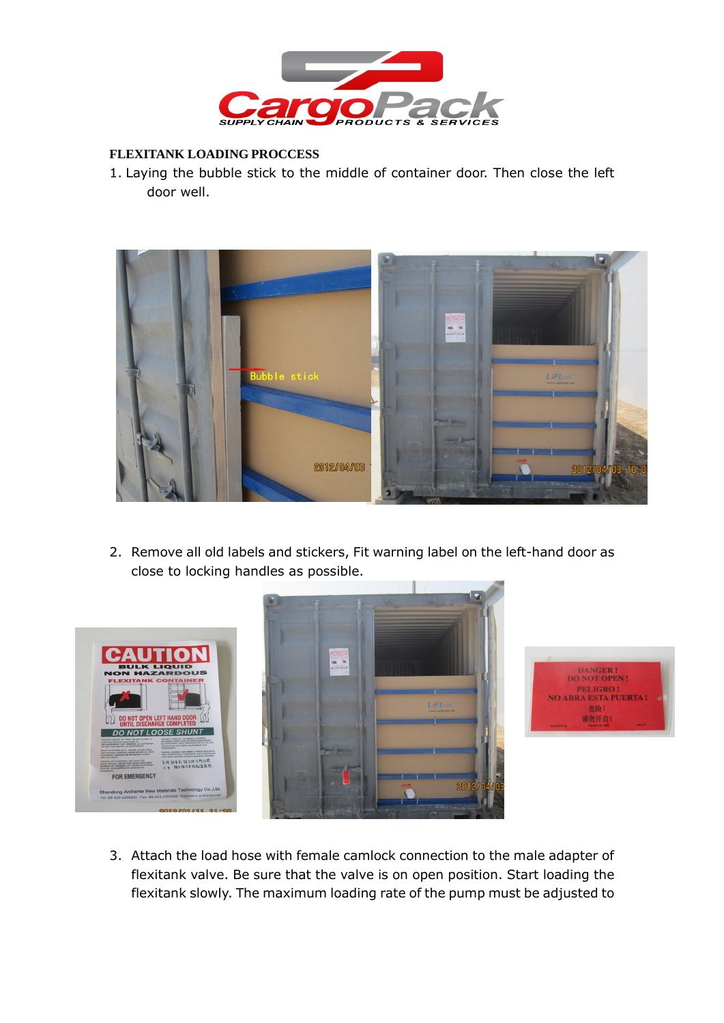

#### **FLEXITANK LOADING PROCCESS**

1. Laying the bubble stick to the middle of container door. Then close the left door well.



2. Remove all old labels and stickers, Fit warning label on the left-hand door as close to locking handles as possible.





3. Attach the load hose with female camlock connection to the male adapter of flexitank valve. Be sure that the valve is on open position. Start loading the flexitank slowly. The maximum loading rate of the pump must be adjusted to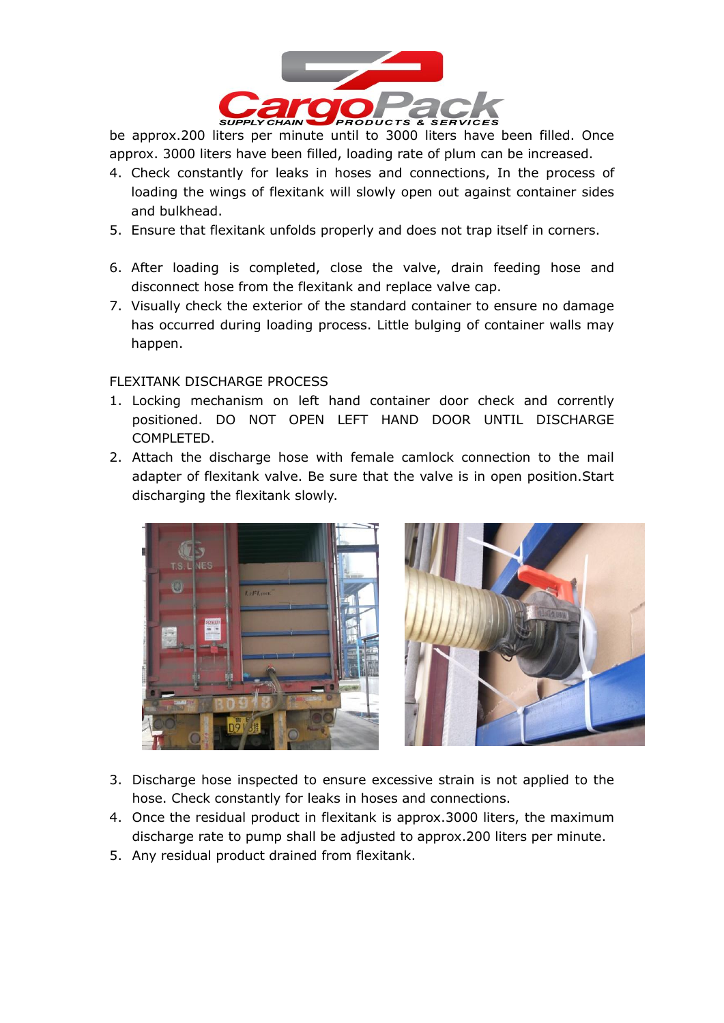

be approx.200 liters per minute until to 3000 liters have been filled. Once approx. 3000 liters have been filled, loading rate of plum can be increased.

- 4. Check constantly for leaks in hoses and connections, In the process of loading the wings of flexitank will slowly open out against container sides and bulkhead.
- 5. Ensure that flexitank unfolds properly and does not trap itself in corners.
- 6. After loading is completed, close the valve, drain feeding hose and disconnect hose from the flexitank and replace valve cap.
- 7. Visually check the exterior of the standard container to ensure no damage has occurred during loading process. Little bulging of container walls may happen.

#### FLEXITANK DISCHARGE PROCESS

- 1. Locking mechanism on left hand container door check and corrently positioned. DO NOT OPEN LEFT HAND DOOR UNTIL DISCHARGE COMPLETED.
- 2. Attach the discharge hose with female camlock connection to the mail adapter of flexitank valve. Be sure that the valve is in open position.Start discharging the flexitank slowly.





- 3. Discharge hose inspected to ensure excessive strain is not applied to the hose. Check constantly for leaks in hoses and connections.
- 4. Once the residual product in flexitank is approx.3000 liters, the maximum discharge rate to pump shall be adjusted to approx.200 liters per minute.
- 5. Any residual product drained from flexitank.